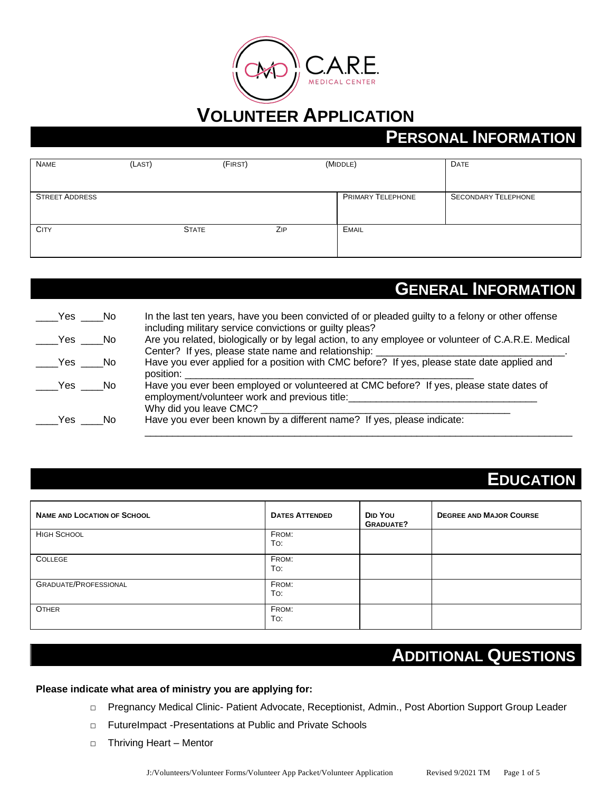

# **PERSONAL INFORMATION**

| <b>NAME</b>           | (LAST) |              | (FIRST) |     | (MIDDLE)                 | <b>DATE</b>                |
|-----------------------|--------|--------------|---------|-----|--------------------------|----------------------------|
|                       |        |              |         |     |                          |                            |
| <b>STREET ADDRESS</b> |        |              |         |     | <b>PRIMARY TELEPHONE</b> | <b>SECONDARY TELEPHONE</b> |
|                       |        |              |         |     |                          |                            |
| <b>CITY</b>           |        | <b>STATE</b> |         | ZIP | <b>EMAIL</b>             |                            |
|                       |        |              |         |     |                          |                            |

### **GENERAL INFORMATION**

| Yes    | i No | In the last ten years, have you been convicted of or pleaded guilty to a felony or other offense                                                                                                                     |
|--------|------|----------------------------------------------------------------------------------------------------------------------------------------------------------------------------------------------------------------------|
| Yes No |      | including military service convictions or guilty pleas?<br>Are you related, biologically or by legal action, to any employee or volunteer of C.A.R.E. Medical<br>Center? If yes, please state name and relationship: |
| Yes No |      | Have you ever applied for a position with CMC before? If yes, please state date applied and                                                                                                                          |
| Yes No |      | position:<br>Have you ever been employed or volunteered at CMC before? If yes, please state dates of<br>employment/volunteer work and previous title:                                                                |
| Yes    | No   | Why did you leave CMC?<br>Have you ever been known by a different name? If yes, please indicate:                                                                                                                     |

## **EDUCATION**

| <b>NAME AND LOCATION OF SCHOOL</b> | <b>DATES ATTENDED</b> | DID YOU<br><b>GRADUATE?</b> | <b>DEGREE AND MAJOR COURSE</b> |
|------------------------------------|-----------------------|-----------------------------|--------------------------------|
| <b>HIGH SCHOOL</b>                 | FROM:<br>To:          |                             |                                |
| COLLEGE                            | FROM:<br>To:          |                             |                                |
| <b>GRADUATE/PROFESSIONAL</b>       | FROM:<br>To:          |                             |                                |
| <b>OTHER</b>                       | FROM:<br>To:          |                             |                                |

## **ADDITIONAL QUESTIONS**

#### **Please indicate what area of ministry you are applying for:**

- □ Pregnancy Medical Clinic- Patient Advocate, Receptionist, Admin., Post Abortion Support Group Leader
- □ FutureImpact -Presentations at Public and Private Schools
- □ Thriving Heart Mentor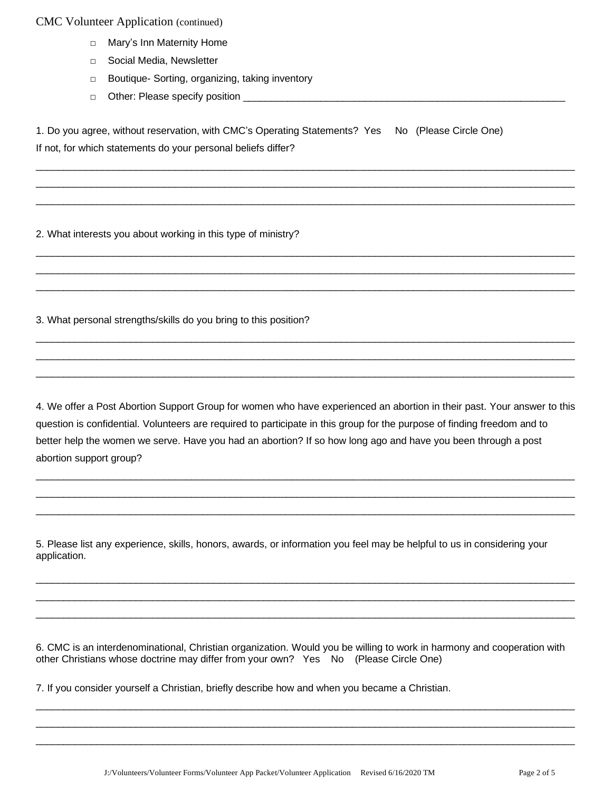- □ Mary's Inn Maternity Home
- □ Social Media, Newsletter
- □ Boutique- Sorting, organizing, taking inventory
- □ Other: Please specify position \_\_\_\_\_\_\_\_

1. Do you agree, without reservation, with CMC's Operating Statements? Yes No (Please Circle One) If not, for which statements do your personal beliefs differ?

 $\_$  ,  $\_$  ,  $\_$  ,  $\_$  ,  $\_$  ,  $\_$  ,  $\_$  ,  $\_$  ,  $\_$  ,  $\_$  ,  $\_$  ,  $\_$  ,  $\_$  ,  $\_$  ,  $\_$  ,  $\_$  ,  $\_$  ,  $\_$  ,  $\_$  ,  $\_$  ,  $\_$  ,  $\_$  ,  $\_$  ,  $\_$  ,  $\_$  ,  $\_$  ,  $\_$  ,  $\_$  ,  $\_$  ,  $\_$  ,  $\_$  ,  $\_$  ,  $\_$  ,  $\_$  ,  $\_$  ,  $\_$  ,  $\_$  ,  $\_$  ,  $\_$  ,  $\_$  ,  $\_$  ,  $\_$  ,  $\_$  ,  $\_$  ,  $\_$  ,  $\_$  ,  $\_$  ,  $\_$  ,  $\_$  ,  $\_$  ,  $\_$  ,  $\_$  ,  $\_$  ,  $\_$  ,  $\_$  ,  $\_$  ,  $\_$  ,  $\_$  ,  $\_$  ,  $\_$  ,  $\_$  ,  $\_$  ,  $\_$  ,  $\_$  ,  $\_$  ,  $\_$  ,  $\_$  ,  $\_$  ,  $\_$  ,  $\_$  ,  $\_$  ,  $\_$  ,  $\_$  ,  $\_$  ,  $\_$  ,  $\_$  ,  $\_$  ,  $\_$  ,  $\_$  ,  $\_$  ,  $\_$  ,  $\_$  ,  $\_$  ,  $\_$  ,  $\_$  ,  $\_$  ,  $\_$  ,  $\_$  ,  $\_$  ,  $\_$  ,  $\_$  ,  $\_$  ,  $\_$  ,  $\_$  ,  $\_$  ,  $\_$  ,  $\_$  ,  $\_$  ,  $\_$  ,  $\_$  ,  $\_$  ,  $\_$  ,  $\_$  ,  $\_$  ,  $\_$  ,  $\_$  ,  $\_$  ,  $\_$  ,  $\_$  ,  $\_$  ,  $\_$  ,

 $\overline{\phantom{a}}$  ,  $\overline{\phantom{a}}$  ,  $\overline{\phantom{a}}$  ,  $\overline{\phantom{a}}$  ,  $\overline{\phantom{a}}$  ,  $\overline{\phantom{a}}$  ,  $\overline{\phantom{a}}$  ,  $\overline{\phantom{a}}$  ,  $\overline{\phantom{a}}$  ,  $\overline{\phantom{a}}$  ,  $\overline{\phantom{a}}$  ,  $\overline{\phantom{a}}$  ,  $\overline{\phantom{a}}$  ,  $\overline{\phantom{a}}$  ,  $\overline{\phantom{a}}$  ,  $\overline{\phantom{a}}$  $\_$  ,  $\_$  ,  $\_$  ,  $\_$  ,  $\_$  ,  $\_$  ,  $\_$  ,  $\_$  ,  $\_$  ,  $\_$  ,  $\_$  ,  $\_$  ,  $\_$  ,  $\_$  ,  $\_$  ,  $\_$  ,  $\_$  ,  $\_$  ,  $\_$  ,  $\_$  ,  $\_$  ,  $\_$  ,  $\_$  ,  $\_$  ,  $\_$  ,  $\_$  ,  $\_$  ,  $\_$  ,  $\_$  ,  $\_$  ,  $\_$  ,  $\_$  ,  $\_$  ,  $\_$  ,  $\_$  ,  $\_$  ,  $\_$  ,  $\_$  ,  $\_$  ,  $\_$  ,  $\_$  ,  $\_$  ,  $\_$  ,  $\_$  ,  $\_$  ,  $\_$  ,  $\_$  ,  $\_$  ,  $\_$  ,  $\_$  ,  $\_$  ,  $\_$  ,  $\_$  ,  $\_$  ,  $\_$  ,  $\_$  ,  $\_$  ,  $\_$  ,  $\_$  ,  $\_$  ,  $\_$  ,  $\_$  ,  $\_$  ,  $\_$  ,  $\_$  ,  $\_$  ,  $\_$  ,  $\_$  ,  $\_$  ,  $\_$  ,  $\_$  ,  $\_$  ,  $\_$  ,  $\_$  ,

 $\_$  ,  $\_$  ,  $\_$  ,  $\_$  ,  $\_$  ,  $\_$  ,  $\_$  ,  $\_$  ,  $\_$  ,  $\_$  ,  $\_$  ,  $\_$  ,  $\_$  ,  $\_$  ,  $\_$  ,  $\_$  ,  $\_$  ,  $\_$  ,  $\_$  ,  $\_$  ,  $\_$  ,  $\_$  ,  $\_$  ,  $\_$  ,  $\_$  ,  $\_$  ,  $\_$  ,  $\_$  ,  $\_$  ,  $\_$  ,  $\_$  ,  $\_$  ,  $\_$  ,  $\_$  ,  $\_$  ,  $\_$  ,  $\_$  ,  $\_$  ,  $\_$  ,  $\_$  ,  $\_$  ,  $\_$  ,  $\_$  ,  $\_$  ,  $\_$  ,  $\_$  ,  $\_$  ,  $\_$  ,  $\_$  ,  $\_$  ,  $\_$  ,  $\_$  ,  $\_$  ,  $\_$  ,  $\_$  ,  $\_$  ,  $\_$  ,  $\_$  ,  $\_$  ,  $\_$  ,  $\_$  ,  $\_$  ,  $\_$  ,  $\_$  ,  $\_$  ,  $\_$  ,  $\_$  ,  $\_$  ,  $\_$  ,  $\_$  ,  $\_$  ,  $\_$  ,  $\_$  ,  $\_$  ,  $\overline{\phantom{a}}$  ,  $\overline{\phantom{a}}$  ,  $\overline{\phantom{a}}$  ,  $\overline{\phantom{a}}$  ,  $\overline{\phantom{a}}$  ,  $\overline{\phantom{a}}$  ,  $\overline{\phantom{a}}$  ,  $\overline{\phantom{a}}$  ,  $\overline{\phantom{a}}$  ,  $\overline{\phantom{a}}$  ,  $\overline{\phantom{a}}$  ,  $\overline{\phantom{a}}$  ,  $\overline{\phantom{a}}$  ,  $\overline{\phantom{a}}$  ,  $\overline{\phantom{a}}$  ,  $\overline{\phantom{a}}$ 

2. What interests you about working in this type of ministry?

3. What personal strengths/skills do you bring to this position?

4. We offer a Post Abortion Support Group for women who have experienced an abortion in their past. Your answer to this question is confidential. Volunteers are required to participate in this group for the purpose of finding freedom and to better help the women we serve. Have you had an abortion? If so how long ago and have you been through a post abortion support group?

 $\_$  ,  $\_$  ,  $\_$  ,  $\_$  ,  $\_$  ,  $\_$  ,  $\_$  ,  $\_$  ,  $\_$  ,  $\_$  ,  $\_$  ,  $\_$  ,  $\_$  ,  $\_$  ,  $\_$  ,  $\_$  ,  $\_$  ,  $\_$  ,  $\_$  ,  $\_$  ,  $\_$  ,  $\_$  ,  $\_$  ,  $\_$  ,  $\_$  ,  $\_$  ,  $\_$  ,  $\_$  ,  $\_$  ,  $\_$  ,  $\_$  ,  $\_$  ,  $\_$  ,  $\_$  ,  $\_$  ,  $\_$  ,  $\_$  ,  $\overline{\phantom{a}}$  ,  $\overline{\phantom{a}}$  ,  $\overline{\phantom{a}}$  ,  $\overline{\phantom{a}}$  ,  $\overline{\phantom{a}}$  ,  $\overline{\phantom{a}}$  ,  $\overline{\phantom{a}}$  ,  $\overline{\phantom{a}}$  ,  $\overline{\phantom{a}}$  ,  $\overline{\phantom{a}}$  ,  $\overline{\phantom{a}}$  ,  $\overline{\phantom{a}}$  ,  $\overline{\phantom{a}}$  ,  $\overline{\phantom{a}}$  ,  $\overline{\phantom{a}}$  ,  $\overline{\phantom{a}}$  $\overline{\phantom{a}}$  ,  $\overline{\phantom{a}}$  ,  $\overline{\phantom{a}}$  ,  $\overline{\phantom{a}}$  ,  $\overline{\phantom{a}}$  ,  $\overline{\phantom{a}}$  ,  $\overline{\phantom{a}}$  ,  $\overline{\phantom{a}}$  ,  $\overline{\phantom{a}}$  ,  $\overline{\phantom{a}}$  ,  $\overline{\phantom{a}}$  ,  $\overline{\phantom{a}}$  ,  $\overline{\phantom{a}}$  ,  $\overline{\phantom{a}}$  ,  $\overline{\phantom{a}}$  ,  $\overline{\phantom{a}}$ 

5. Please list any experience, skills, honors, awards, or information you feel may be helpful to us in considering your application.

 $\_$  ,  $\_$  ,  $\_$  ,  $\_$  ,  $\_$  ,  $\_$  ,  $\_$  ,  $\_$  ,  $\_$  ,  $\_$  ,  $\_$  ,  $\_$  ,  $\_$  ,  $\_$  ,  $\_$  ,  $\_$  ,  $\_$  ,  $\_$  ,  $\_$  ,  $\_$  ,  $\_$  ,  $\_$  ,  $\_$  ,  $\_$  ,  $\_$  ,  $\_$  ,  $\_$  ,  $\_$  ,  $\_$  ,  $\_$  ,  $\_$  ,  $\_$  ,  $\_$  ,  $\_$  ,  $\_$  ,  $\_$  ,  $\_$  ,  $\overline{\phantom{a}}$  ,  $\overline{\phantom{a}}$  ,  $\overline{\phantom{a}}$  ,  $\overline{\phantom{a}}$  ,  $\overline{\phantom{a}}$  ,  $\overline{\phantom{a}}$  ,  $\overline{\phantom{a}}$  ,  $\overline{\phantom{a}}$  ,  $\overline{\phantom{a}}$  ,  $\overline{\phantom{a}}$  ,  $\overline{\phantom{a}}$  ,  $\overline{\phantom{a}}$  ,  $\overline{\phantom{a}}$  ,  $\overline{\phantom{a}}$  ,  $\overline{\phantom{a}}$  ,  $\overline{\phantom{a}}$  $\_$  ,  $\_$  ,  $\_$  ,  $\_$  ,  $\_$  ,  $\_$  ,  $\_$  ,  $\_$  ,  $\_$  ,  $\_$  ,  $\_$  ,  $\_$  ,  $\_$  ,  $\_$  ,  $\_$  ,  $\_$  ,  $\_$  ,  $\_$  ,  $\_$  ,  $\_$  ,  $\_$  ,  $\_$  ,  $\_$  ,  $\_$  ,  $\_$  ,  $\_$  ,  $\_$  ,  $\_$  ,  $\_$  ,  $\_$  ,  $\_$  ,  $\_$  ,  $\_$  ,  $\_$  ,  $\_$  ,  $\_$  ,  $\_$  ,

6. CMC is an interdenominational, Christian organization. Would you be willing to work in harmony and cooperation with other Christians whose doctrine may differ from your own? Yes No (Please Circle One)

 $\_$  ,  $\_$  ,  $\_$  ,  $\_$  ,  $\_$  ,  $\_$  ,  $\_$  ,  $\_$  ,  $\_$  ,  $\_$  ,  $\_$  ,  $\_$  ,  $\_$  ,  $\_$  ,  $\_$  ,  $\_$  ,  $\_$  ,  $\_$  ,  $\_$  ,  $\_$  ,  $\_$  ,  $\_$  ,  $\_$  ,  $\_$  ,  $\_$  ,  $\_$  ,  $\_$  ,  $\_$  ,  $\_$  ,  $\_$  ,  $\_$  ,  $\_$  ,  $\_$  ,  $\_$  ,  $\_$  ,  $\_$  ,  $\_$  ,  $\_$  ,  $\_$  ,  $\_$  ,  $\_$  ,  $\_$  ,  $\_$  ,  $\_$  ,  $\_$  ,  $\_$  ,  $\_$  ,  $\_$  ,  $\_$  ,  $\_$  ,  $\_$  ,  $\_$  ,  $\_$  ,  $\_$  ,  $\_$  ,  $\_$  ,  $\_$  ,  $\_$  ,  $\_$  ,  $\_$  ,  $\_$  ,  $\_$  ,  $\_$  ,  $\_$  ,  $\_$  ,  $\_$  ,  $\_$  ,  $\_$  ,  $\_$  ,  $\_$  ,  $\_$  ,  $\_$  ,  $\_$  ,  $\_$  ,  $\_$  ,  $\_$  ,  $\_$  ,  $\_$  ,  $\_$  ,  $\_$  ,  $\_$  ,  $\_$  ,  $\_$  ,  $\_$  ,  $\_$  ,  $\_$  ,  $\_$  ,  $\_$  ,  $\_$  ,  $\_$  ,  $\_$  ,  $\_$  ,  $\_$  ,  $\_$  ,  $\_$  ,  $\_$  ,  $\_$  ,  $\_$  ,  $\_$  ,  $\_$  ,  $\_$  ,  $\_$  ,  $\_$  ,  $\_$  ,  $\_$  ,  $\_$  ,  $\_$  ,  $\_$  ,  $\_$  ,  $\_$  ,  $\_$  ,

7. If you consider yourself a Christian, briefly describe how and when you became a Christian.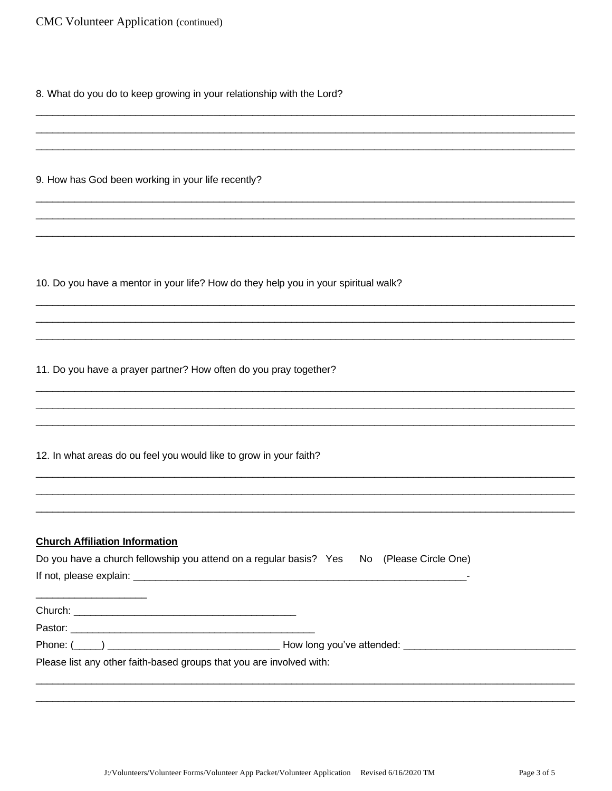8. What do you do to keep growing in your relationship with the Lord?

9. How has God been working in your life recently?

10. Do you have a mentor in your life? How do they help you in your spiritual walk?

11. Do you have a prayer partner? How often do you pray together?

12. In what areas do ou feel you would like to grow in your faith?

#### **Church Affiliation Information**

 $\overline{\phantom{0}}$ 

| Do you have a church fellowship you attend on a regular basis? Yes No (Please Circle One) |  |  |
|-------------------------------------------------------------------------------------------|--|--|
| If not, please explain:                                                                   |  |  |

| Church: |  |  |
|---------|--|--|
| Pastor: |  |  |

Phone:  $(\_\_)$ 

Please list any other faith-based groups that you are involved with: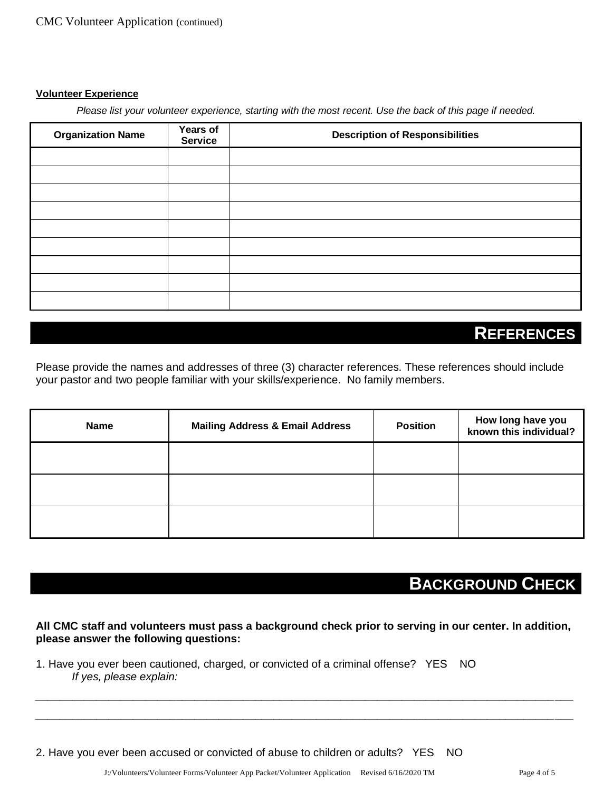#### **Volunteer Experience**

*Please list your volunteer experience, starting with the most recent. Use the back of this page if needed.*

| <b>Organization Name</b> | Years of<br><b>Service</b> | <b>Description of Responsibilities</b> |  |  |
|--------------------------|----------------------------|----------------------------------------|--|--|
|                          |                            |                                        |  |  |
|                          |                            |                                        |  |  |
|                          |                            |                                        |  |  |
|                          |                            |                                        |  |  |
|                          |                            |                                        |  |  |
|                          |                            |                                        |  |  |
|                          |                            |                                        |  |  |
|                          |                            |                                        |  |  |
|                          |                            |                                        |  |  |

### **REFERENCES**

Please provide the names and addresses of three (3) character references. These references should include your pastor and two people familiar with your skills/experience. No family members.

| Name | <b>Mailing Address &amp; Email Address</b> | <b>Position</b> | How long have you<br>known this individual? |
|------|--------------------------------------------|-----------------|---------------------------------------------|
|      |                                            |                 |                                             |
|      |                                            |                 |                                             |
|      |                                            |                 |                                             |

# **BACKGROUND CHECK**

**All CMC staff and volunteers must pass a background check prior to serving in our center. In addition, please answer the following questions:**

*\_\_\_\_\_\_\_\_\_\_\_\_\_\_\_\_\_\_\_\_\_\_\_\_\_\_\_\_\_\_\_\_\_\_\_\_\_\_\_\_\_\_\_\_\_\_\_\_\_\_\_\_\_\_\_\_\_\_\_\_\_\_\_\_\_\_\_\_\_\_\_\_\_\_\_\_\_\_\_\_\_\_\_\_\_\_\_\_ \_\_\_\_\_\_\_\_\_\_\_\_\_\_\_\_\_\_\_\_\_\_\_\_\_\_\_\_\_\_\_\_\_\_\_\_\_\_\_\_\_\_\_\_\_\_\_\_\_\_\_\_\_\_\_\_\_\_\_\_\_\_\_\_\_\_\_\_\_\_\_\_\_\_\_\_\_\_\_\_\_\_\_\_\_\_\_\_*

1. Have you ever been cautioned, charged, or convicted of a criminal offense? YES NO *If yes, please explain:* 

2. Have you ever been accused or convicted of abuse to children or adults? YES NO